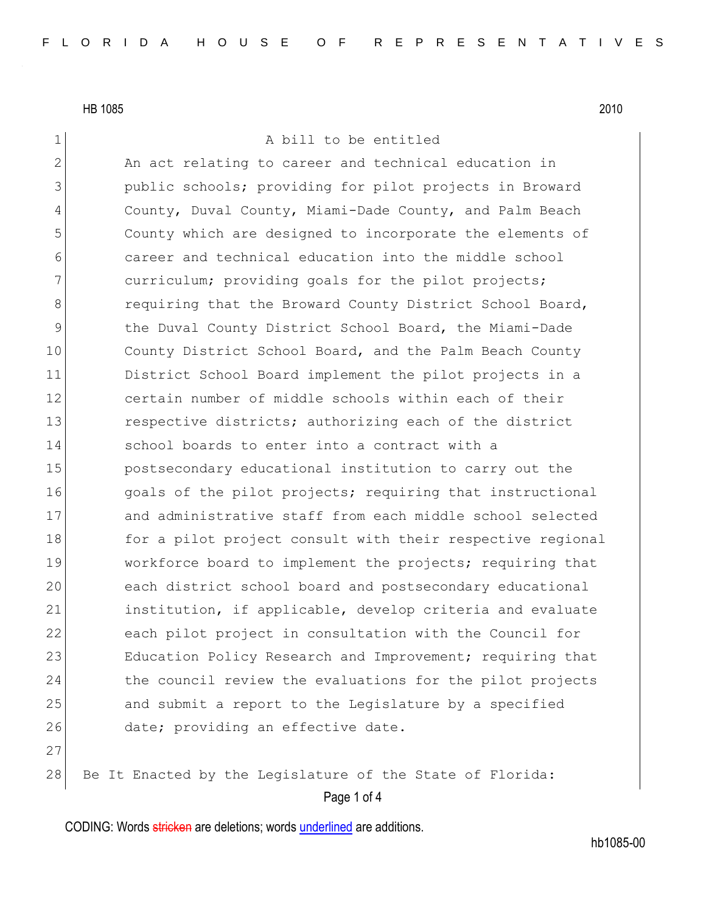1 A bill to be entitled

2 An act relating to career and technical education in 3 **public schools; providing for pilot projects in Broward** 4 County, Duval County, Miami-Dade County, and Palm Beach 5 County which are designed to incorporate the elements of 6 career and technical education into the middle school 7 curriculum; providing goals for the pilot projects; 8 8 requiring that the Broward County District School Board, 9 10 10 the Duval County District School Board, the Miami-Dade 10 County District School Board, and the Palm Beach County 11 District School Board implement the pilot projects in a 12 certain number of middle schools within each of their 13 respective districts; authorizing each of the district 14 School boards to enter into a contract with a 15 postsecondary educational institution to carry out the 16 and in the pilot projects; requiring that instructional 17 and administrative staff from each middle school selected 18 for a pilot project consult with their respective regional 19 Workforce board to implement the projects; requiring that 20 each district school board and postsecondary educational 21 institution, if applicable, develop criteria and evaluate 22 each pilot project in consultation with the Council for 23 Education Policy Research and Improvement; requiring that 24 the council review the evaluations for the pilot projects 25 and submit a report to the Legislature by a specified 26 date; providing an effective date. 27

28 Be It Enacted by the Legislature of the State of Florida:

Page 1 of 4

CODING: Words stricken are deletions; words underlined are additions.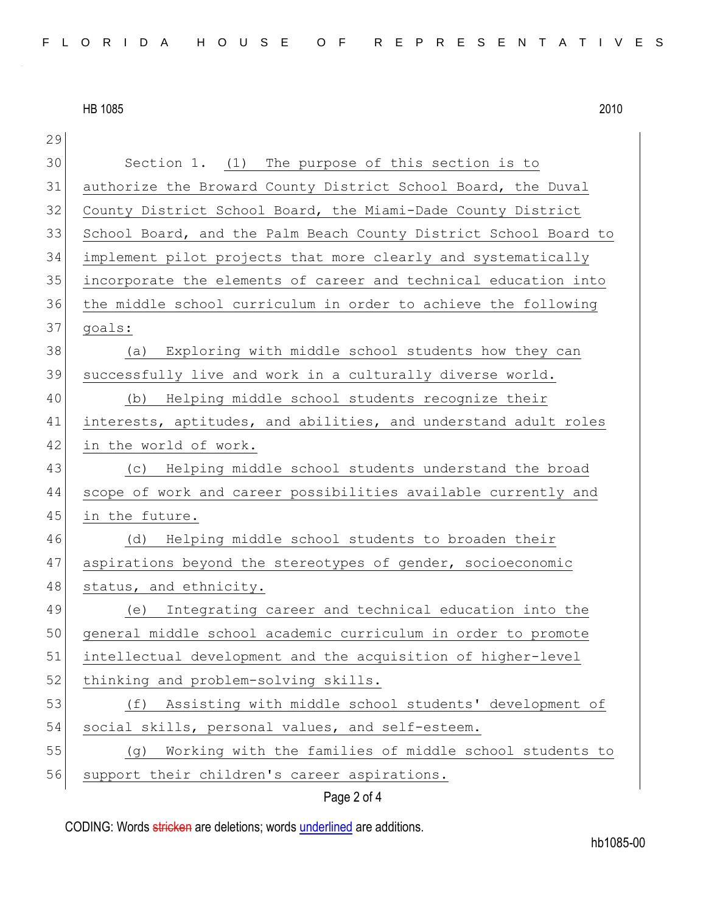| 29 |                                                                  |  |  |  |  |  |  |  |  |
|----|------------------------------------------------------------------|--|--|--|--|--|--|--|--|
| 30 | Section 1. (1) The purpose of this section is to                 |  |  |  |  |  |  |  |  |
| 31 | authorize the Broward County District School Board, the Duval    |  |  |  |  |  |  |  |  |
| 32 | County District School Board, the Miami-Dade County District     |  |  |  |  |  |  |  |  |
| 33 | School Board, and the Palm Beach County District School Board to |  |  |  |  |  |  |  |  |
| 34 | implement pilot projects that more clearly and systematically    |  |  |  |  |  |  |  |  |
| 35 | incorporate the elements of career and technical education into  |  |  |  |  |  |  |  |  |
| 36 | the middle school curriculum in order to achieve the following   |  |  |  |  |  |  |  |  |
| 37 | goals:                                                           |  |  |  |  |  |  |  |  |
| 38 | (a) Exploring with middle school students how they can           |  |  |  |  |  |  |  |  |
| 39 | successfully live and work in a culturally diverse world.        |  |  |  |  |  |  |  |  |
| 40 | (b) Helping middle school students recognize their               |  |  |  |  |  |  |  |  |
| 41 | interests, aptitudes, and abilities, and understand adult roles  |  |  |  |  |  |  |  |  |
| 42 | in the world of work.                                            |  |  |  |  |  |  |  |  |
| 43 | (c) Helping middle school students understand the broad          |  |  |  |  |  |  |  |  |
| 44 | scope of work and career possibilities available currently and   |  |  |  |  |  |  |  |  |
| 45 | in the future.                                                   |  |  |  |  |  |  |  |  |
| 46 | (d)<br>Helping middle school students to broaden their           |  |  |  |  |  |  |  |  |
| 47 | aspirations beyond the stereotypes of gender, socioeconomic      |  |  |  |  |  |  |  |  |
| 48 | status, and ethnicity.                                           |  |  |  |  |  |  |  |  |
| 49 | Integrating career and technical education into the<br>(e)       |  |  |  |  |  |  |  |  |
| 50 | general middle school academic curriculum in order to promote    |  |  |  |  |  |  |  |  |
| 51 | intellectual development and the acquisition of higher-level     |  |  |  |  |  |  |  |  |
| 52 | thinking and problem-solving skills.                             |  |  |  |  |  |  |  |  |
| 53 | Assisting with middle school students' development of<br>(f)     |  |  |  |  |  |  |  |  |
| 54 | social skills, personal values, and self-esteem.                 |  |  |  |  |  |  |  |  |
| 55 | Working with the families of middle school students to<br>(၂)    |  |  |  |  |  |  |  |  |
| 56 | support their children's career aspirations.                     |  |  |  |  |  |  |  |  |

## Page 2 of 4

CODING: Words stricken are deletions; words underlined are additions.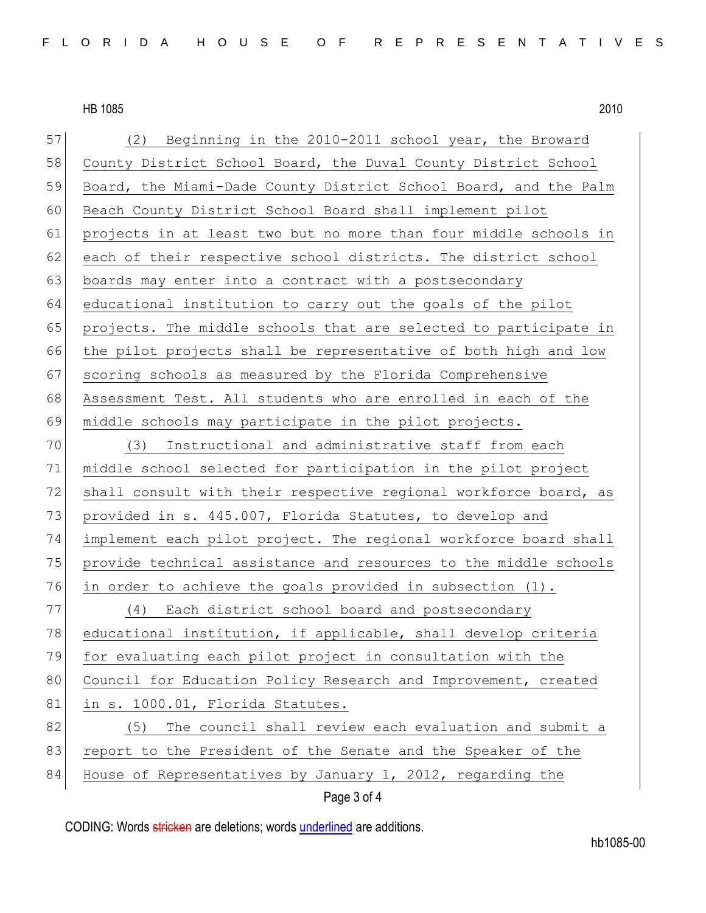Page 3 of 4 57 (2) Beginning in the 2010-2011 school year, the Broward 58 County District School Board, the Duval County District School 59 Board, the Miami-Dade County District School Board, and the Palm 60 Beach County District School Board shall implement pilot 61 projects in at least two but no more than four middle schools in 62 each of their respective school districts. The district school 63 boards may enter into a contract with a postsecondary 64 educational institution to carry out the goals of the pilot 65 projects. The middle schools that are selected to participate in 66 the pilot projects shall be representative of both high and low 67 scoring schools as measured by the Florida Comprehensive 68 Assessment Test. All students who are enrolled in each of the 69 middle schools may participate in the pilot projects. 70 (3) Instructional and administrative staff from each 71 middle school selected for participation in the pilot project 72 shall consult with their respective regional workforce board, as 73 provided in s. 445.007, Florida Statutes, to develop and 74 implement each pilot project. The regional workforce board shall 75 | provide technical assistance and resources to the middle schools 76 in order to achieve the goals provided in subsection (1). 77 (4) Each district school board and postsecondary 78 educational institution, if applicable, shall develop criteria 79 for evaluating each pilot project in consultation with the 80 Council for Education Policy Research and Improvement, created 81 in s. 1000.01, Florida Statutes. 82 (5) The council shall review each evaluation and submit a 83 report to the President of the Senate and the Speaker of the 84 House of Representatives by January 1, 2012, regarding the

CODING: Words stricken are deletions; words underlined are additions.